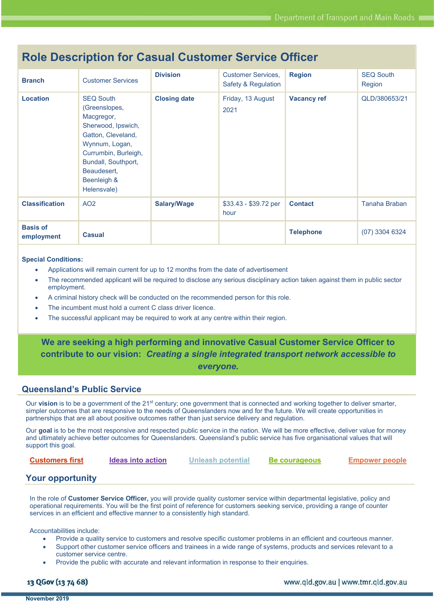| <b>Branch</b>                 | <b>Customer Services</b>                                                                                                                                                                                  | <b>Division</b>     | <b>Customer Services,</b><br>Safety & Regulation | <b>Region</b>      | <b>SEQ South</b><br>Region |
|-------------------------------|-----------------------------------------------------------------------------------------------------------------------------------------------------------------------------------------------------------|---------------------|--------------------------------------------------|--------------------|----------------------------|
| <b>Location</b>               | <b>SEQ South</b><br>(Greenslopes,<br>Macgregor,<br>Sherwood, Ipswich,<br>Gatton, Cleveland,<br>Wynnum, Logan,<br>Currumbin, Burleigh,<br>Bundall, Southport,<br>Beaudesert,<br>Beenleigh &<br>Helensvale) | <b>Closing date</b> | Friday, 13 August<br>2021                        | <b>Vacancy ref</b> | QLD/380653/21              |
| <b>Classification</b>         | AO <sub>2</sub>                                                                                                                                                                                           | <b>Salary/Wage</b>  | $$33.43 - $39.72$ per<br>hour                    | <b>Contact</b>     | Tanaha Braban              |
| <b>Basis of</b><br>employment | <b>Casual</b>                                                                                                                                                                                             |                     |                                                  | <b>Telephone</b>   | $(07)$ 3304 6324           |

# Role Description for Casual Customer Service Officer

#### Special Conditions:

- Applications will remain current for up to 12 months from the date of advertisement
- The recommended applicant will be required to disclose any serious disciplinary action taken against them in public sector employment.
- A criminal history check will be conducted on the recommended person for this role.
- The incumbent must hold a current C class driver licence.
- The successful applicant may be required to work at any centre within their region.

We are seeking a high performing and innovative Casual Customer Service Officer to contribute to our vision: Creating a single integrated transport network accessible to everyone.

### Queensland's Public Service

Our vision is to be a government of the 21<sup>st</sup> century; one government that is connected and working together to deliver smarter, simpler outcomes that are responsive to the needs of Queenslanders now and for the future. We will create opportunities in partnerships that are all about positive outcomes rather than just service delivery and regulation.

Our goal is to be the most responsive and respected public service in the nation. We will be more effective, deliver value for money and ultimately achieve better outcomes for Queenslanders. Queensland's public service has five organisational values that will support this goal.

# **Customers first Ideas into action Unleash potential Be courageous Empower people**

# Your opportunity

In the role of Customer Service Officer, you will provide quality customer service within departmental legislative, policy and operational requirements. You will be the first point of reference for customers seeking service, providing a range of counter services in an efficient and effective manner to a consistently high standard.

Accountabilities include:

- Provide a quality service to customers and resolve specific customer problems in an efficient and courteous manner.
- Support other customer service officers and trainees in a wide range of systems, products and services relevant to a customer service centre.
- Provide the public with accurate and relevant information in response to their enquiries.

## 13 QGov (13 74 68)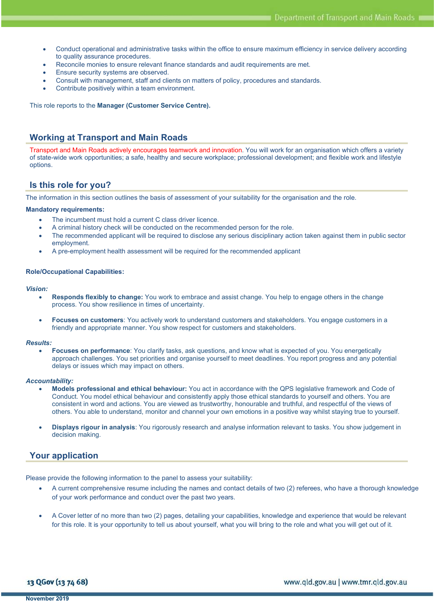- Conduct operational and administrative tasks within the office to ensure maximum efficiency in service delivery according to quality assurance procedures.
- Reconcile monies to ensure relevant finance standards and audit requirements are met.
- Ensure security systems are observed.
- Consult with management, staff and clients on matters of policy, procedures and standards.
- Contribute positively within a team environment.

This role reports to the Manager (Customer Service Centre).

### Working at Transport and Main Roads

Transport and Main Roads actively encourages teamwork and innovation. You will work for an organisation which offers a variety of state-wide work opportunities; a safe, healthy and secure workplace; professional development; and flexible work and lifestyle options.

### Is this role for you?

The information in this section outlines the basis of assessment of your suitability for the organisation and the role.

#### Mandatory requirements:

- The incumbent must hold a current C class driver licence.
- A criminal history check will be conducted on the recommended person for the role.
- The recommended applicant will be required to disclose any serious disciplinary action taken against them in public sector employment.
- A pre-employment health assessment will be required for the recommended applicant

#### Role/Occupational Capabilities:

#### Vision:

- Responds flexibly to change: You work to embrace and assist change. You help to engage others in the change process. You show resilience in times of uncertainty.
- Focuses on customers: You actively work to understand customers and stakeholders. You engage customers in a friendly and appropriate manner. You show respect for customers and stakeholders.

#### Results:

 Focuses on performance: You clarify tasks, ask questions, and know what is expected of you. You energetically approach challenges. You set priorities and organise yourself to meet deadlines. You report progress and any potential delays or issues which may impact on others.

#### Accountability:

- Models professional and ethical behaviour: You act in accordance with the QPS legislative framework and Code of Conduct. You model ethical behaviour and consistently apply those ethical standards to yourself and others. You are consistent in word and actions. You are viewed as trustworthy, honourable and truthful, and respectful of the views of others. You able to understand, monitor and channel your own emotions in a positive way whilst staying true to yourself.
- Displays rigour in analysis: You rigorously research and analyse information relevant to tasks. You show judgement in decision making.

# Your application

Please provide the following information to the panel to assess your suitability:

- A current comprehensive resume including the names and contact details of two (2) referees, who have a thorough knowledge of your work performance and conduct over the past two years.
- A Cover letter of no more than two (2) pages, detailing your capabilities, knowledge and experience that would be relevant for this role. It is your opportunity to tell us about yourself, what you will bring to the role and what you will get out of it.

13 QGov (13 74 68)

www.qld.gov.au | www.tmr.qld.gov.au